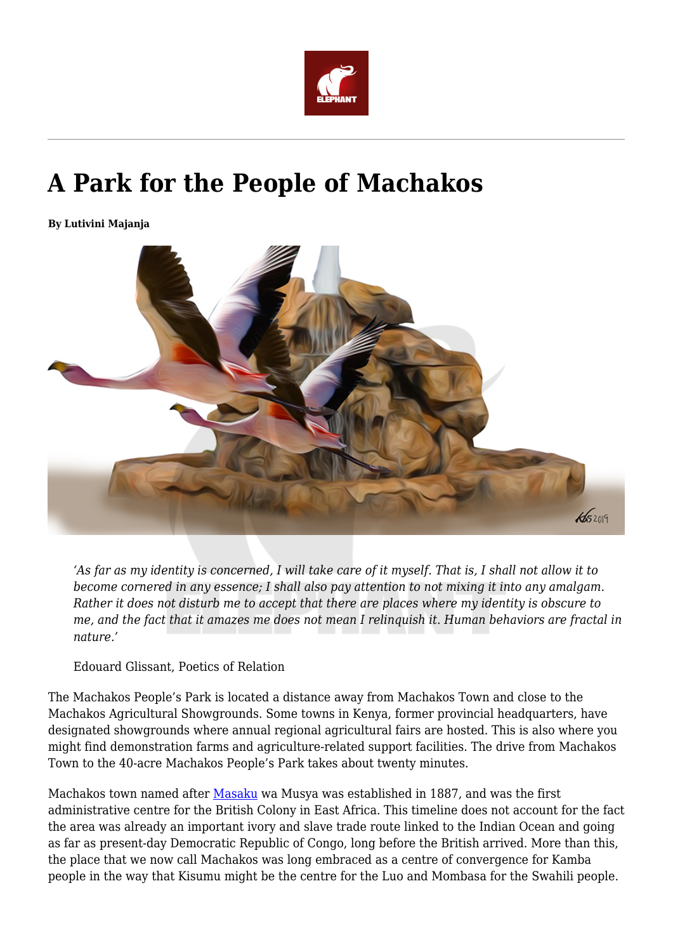

## **A Park for the People of Machakos**

**By Lutivini Majanja**



*'As far as my identity is concerned, I will take care of it myself. That is, I shall not allow it to become cornered in any essence; I shall also pay attention to not mixing it into any amalgam. Rather it does not disturb me to accept that there are places where my identity is obscure to me, and the fact that it amazes me does not mean I relinquish it. Human behaviors are fractal in nature.'* 

Edouard Glissant, Poetics of Relation

The Machakos People's Park is located a distance away from Machakos Town and close to the Machakos Agricultural Showgrounds. Some towns in Kenya, former provincial headquarters, have designated showgrounds where annual regional agricultural fairs are hosted. This is also where you might find demonstration farms and agriculture-related support facilities. The drive from Machakos Town to the 40-acre Machakos People's Park takes about twenty minutes.

Machakos town named after [Masaku](https://twitter.com/HistoryKE/status/1122597835843801094) wa Musya was established in 1887, and was the first administrative centre for the British Colony in East Africa. This timeline does not account for the fact the area was already an important ivory and slave trade route linked to the Indian Ocean and going as far as present-day Democratic Republic of Congo, long before the British arrived. More than this, the place that we now call Machakos was long embraced as a centre of convergence for Kamba people in the way that Kisumu might be the centre for the Luo and Mombasa for the Swahili people.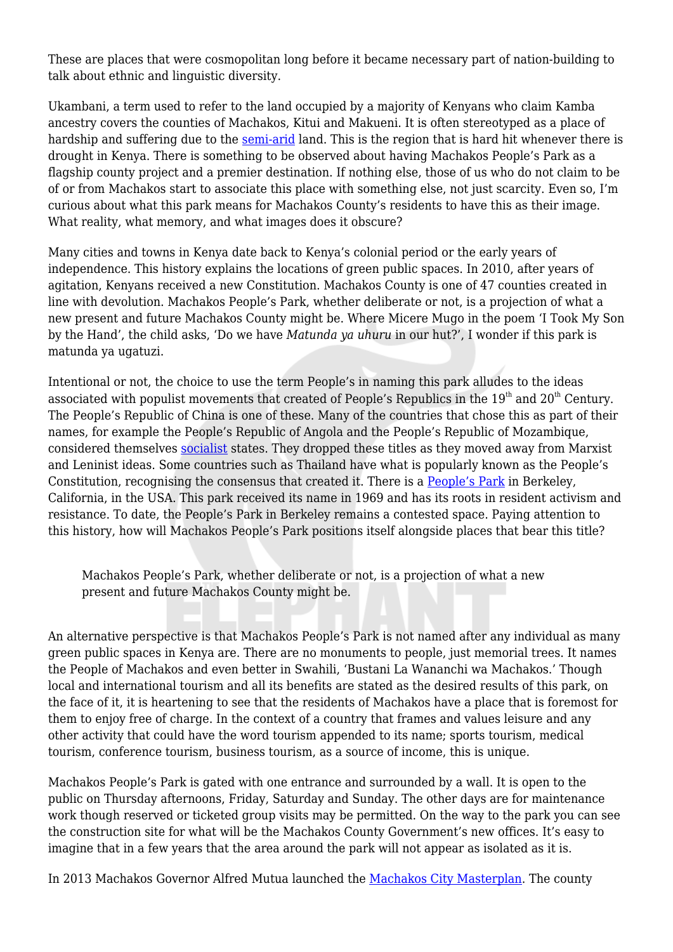These are places that were cosmopolitan long before it became necessary part of nation-building to talk about ethnic and linguistic diversity.

Ukambani, a term used to refer to the land occupied by a majority of Kenyans who claim Kamba ancestry covers the counties of Machakos, Kitui and Makueni. It is often stereotyped as a place of hardship and suffering due to the [semi-arid](http://www.devolutionasals.go.ke/dasal/) land. This is the region that is hard hit whenever there is drought in Kenya. There is something to be observed about having Machakos People's Park as a flagship county project and a premier destination. If nothing else, those of us who do not claim to be of or from Machakos start to associate this place with something else, not just scarcity. Even so, I'm curious about what this park means for Machakos County's residents to have this as their image. What reality, what memory, and what images does it obscure?

Many cities and towns in Kenya date back to Kenya's colonial period or the early years of independence. This history explains the locations of green public spaces. In 2010, after years of agitation, Kenyans received a new Constitution. Machakos County is one of 47 counties created in line with devolution. Machakos People's Park, whether deliberate or not, is a projection of what a new present and future Machakos County might be. Where Micere Mugo in the poem 'I Took My Son by the Hand', the child asks, 'Do we have *Matunda ya uhuru* in our hut?', I wonder if this park is matunda ya ugatuzi.

Intentional or not, the choice to use the term People's in naming this park alludes to the ideas associated with populist movements that created of People's Republics in the  $19<sup>th</sup>$  and  $20<sup>th</sup>$  Century. The People's Republic of China is one of these. Many of the countries that chose this as part of their names, for example the People's Republic of Angola and the People's Republic of Mozambique, considered themselves [socialist](https://www.thoughtco.com/socialism-in-africa-and-african-socialism-4031311) states. They dropped these titles as they moved away from Marxist and Leninist ideas. Some countries such as Thailand have what is popularly known as the People's Constitution, recognising the consensus that created it. There is a [People's Park](https://www.sfchronicle.com/bayarea/article/People-s-Park-at-50-A-recap-of-the-Berkeley-13838786.php) in Berkeley, California, in the USA. This park received its name in 1969 and has its roots in resident activism and resistance. To date, the People's Park in Berkeley remains a contested space. Paying attention to this history, how will Machakos People's Park positions itself alongside places that bear this title?

Machakos People's Park, whether deliberate or not, is a projection of what a new present and future Machakos County might be.

An alternative perspective is that Machakos People's Park is not named after any individual as many green public spaces in Kenya are. There are no monuments to people, just memorial trees. It names the People of Machakos and even better in Swahili, 'Bustani La Wananchi wa Machakos.' Though local and international tourism and all its benefits are stated as the desired results of this park, on the face of it, it is heartening to see that the residents of Machakos have a place that is foremost for them to enjoy free of charge. In the context of a country that frames and values leisure and any other activity that could have the word tourism appended to its name; sports tourism, medical tourism, conference tourism, business tourism, as a source of income, this is unique.

Machakos People's Park is gated with one entrance and surrounded by a wall. It is open to the public on Thursday afternoons, Friday, Saturday and Sunday. The other days are for maintenance work though reserved or ticketed group visits may be permitted. On the way to the park you can see the construction site for what will be the Machakos County Government's new offices. It's easy to imagine that in a few years that the area around the park will not appear as isolated as it is.

In 2013 Machakos Governor Alfred Mutua launched the [Machakos City Masterplan.](http://buildesign.co.ke/machakos-city-masterplan/) The county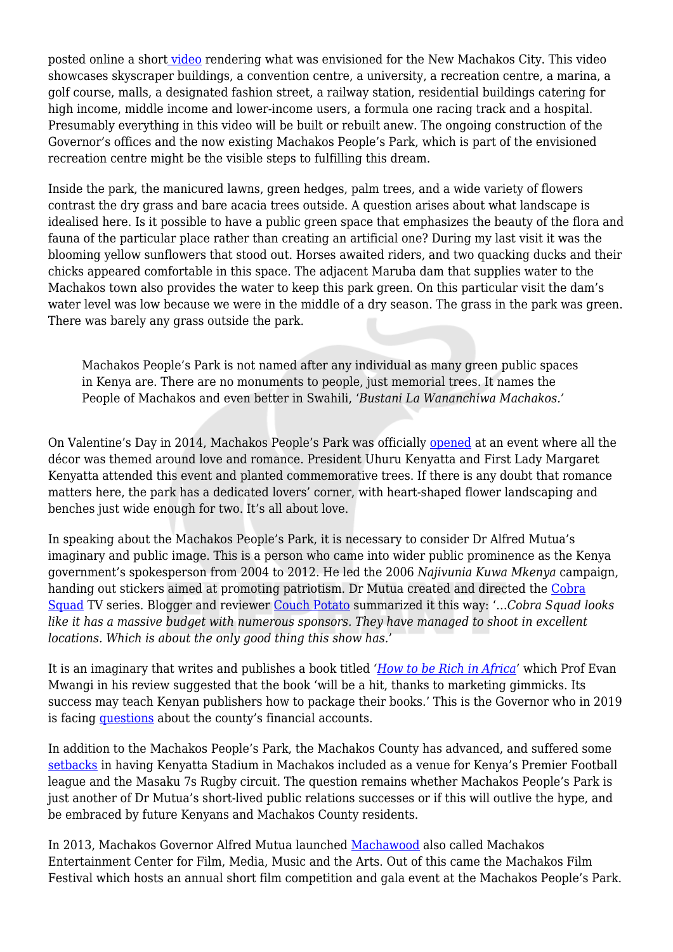posted online a shor[t video](https://www.youtube.com/watch?v=X51Ogiaysic) rendering what was envisioned for the New Machakos City. This video showcases skyscraper buildings, a convention centre, a university, a recreation centre, a marina, a golf course, malls, a designated fashion street, a railway station, residential buildings catering for high income, middle income and lower-income users, a formula one racing track and a hospital. Presumably everything in this video will be built or rebuilt anew. The ongoing construction of the Governor's offices and the now existing Machakos People's Park, which is part of the envisioned recreation centre might be the visible steps to fulfilling this dream.

Inside the park, the manicured lawns, green hedges, palm trees, and a wide variety of flowers contrast the dry grass and bare acacia trees outside. A question arises about what landscape is idealised here. Is it possible to have a public green space that emphasizes the beauty of the flora and fauna of the particular place rather than creating an artificial one? During my last visit it was the blooming yellow sunflowers that stood out. Horses awaited riders, and two quacking ducks and their chicks appeared comfortable in this space. The adjacent Maruba dam that supplies water to the Machakos town also provides the water to keep this park green. On this particular visit the dam's water level was low because we were in the middle of a dry season. The grass in the park was green. There was barely any grass outside the park.

Machakos People's Park is not named after any individual as many green public spaces in Kenya are. There are no monuments to people, just memorial trees. It names the People of Machakos and even better in Swahili, '*Bustani La Wananchiwa Machakos.'*

On Valentine's Day in 2014, Machakos People's Park was officially [opened](https://www.nation.co.ke/news/Machakos-park-draws-hundreds-of-visitors/1056-2209336-121k1a7/index.html) at an event where all the décor was themed around love and romance. President Uhuru Kenyatta and First Lady Margaret Kenyatta attended this event and planted commemorative trees. If there is any doubt that romance matters here, the park has a dedicated lovers' corner, with heart-shaped flower landscaping and benches just wide enough for two. It's all about love.

In speaking about the Machakos People's Park, it is necessary to consider Dr Alfred Mutua's imaginary and public image. This is a person who came into wider public prominence as the Kenya government's spokesperson from 2004 to 2012. He led the 2006 *Najivunia Kuwa Mkenya* campaign, handing out stickers aimed at promoting patriotism. Dr Mutua created and directed the [Cobra](https://www.africanfilmdatabase.com/films/show/198) [Squad](https://www.africanfilmdatabase.com/films/show/198) TV series. Blogger and reviewer [Couch Potato](http://nichgich.blogspot.com/2007/12/cobra-squad.html) summarized it this way: '…*Cobra Squad looks like it has a massive budget with numerous sponsors. They have managed to shoot in excellent locations. Which is about the only good thing this show has.*'

It is an imaginary that writes and publishes a book titled *'[How to be Rich in Africa'](https://www.businessdailyafrica.com/Gospel%20of%20getting%20rich%20according%20to%20Saint%20Alfred%20Mutua/-/539444/1012222/-/13phs6sz/-/index.html)* which Prof Evan Mwangi in his review suggested that the book 'will be a hit, thanks to marketing gimmicks. Its success may teach Kenyan publishers how to package their books.' This is the Governor who in 2019 is facing [questions](https://www.nation.co.ke/news/Senators-call-for-Governor-Alfred-Mutua-arrest-/1056-5293540-6houj7z/index.html) about the county's financial accounts.

In addition to the Machakos People's Park, the Machakos County has advanced, and suffered some [setbacks](https://www.nation.co.ke/sports/football/Machakos-lift-four-year-old-ban-on-Gor-Mahia/1102-4265234-38qfuf/index.html) in having Kenyatta Stadium in Machakos included as a venue for Kenya's Premier Football league and the Masaku 7s Rugby circuit. The question remains whether Machakos People's Park is just another of Dr Mutua's short-lived public relations successes or if this will outlive the hype, and be embraced by future Kenyans and Machakos County residents.

In 2013, Machakos Governor Alfred Mutua launched [Machawood](http://nairobiwire.com/2013/10/alfred-mutua-launches-machakos.html) also called Machakos Entertainment Center for Film, Media, Music and the Arts. Out of this came the Machakos Film Festival which hosts an annual short film competition and gala event at the Machakos People's Park.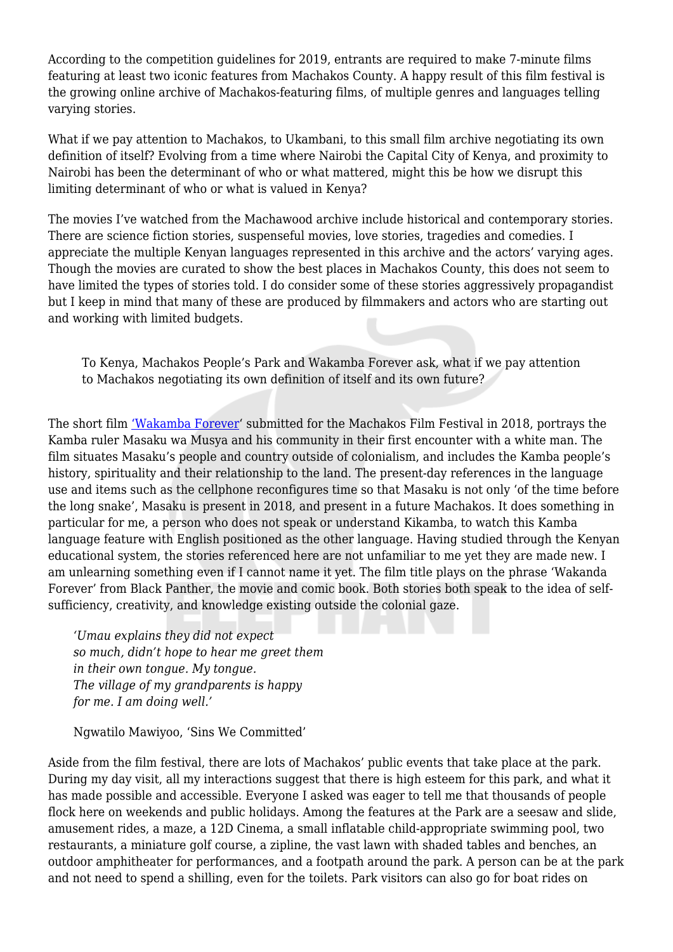According to the competition guidelines for 2019, entrants are required to make 7-minute films featuring at least two iconic features from Machakos County. A happy result of this film festival is the growing online archive of Machakos-featuring films, of multiple genres and languages telling varying stories.

What if we pay attention to Machakos, to Ukambani, to this small film archive negotiating its own definition of itself? Evolving from a time where Nairobi the Capital City of Kenya, and proximity to Nairobi has been the determinant of who or what mattered, might this be how we disrupt this limiting determinant of who or what is valued in Kenya?

The movies I've watched from the Machawood archive include historical and contemporary stories. There are science fiction stories, suspenseful movies, love stories, tragedies and comedies. I appreciate the multiple Kenyan languages represented in this archive and the actors' varying ages. Though the movies are curated to show the best places in Machakos County, this does not seem to have limited the types of stories told. I do consider some of these stories aggressively propagandist but I keep in mind that many of these are produced by filmmakers and actors who are starting out and working with limited budgets.

To Kenya, Machakos People's Park and Wakamba Forever ask, what if we pay attention to Machakos negotiating its own definition of itself and its own future?

The short film ['Wakamba Forever'](https://www.youtube.com/watch?v=rZPeXRkfb9c) submitted for the Machakos Film Festival in 2018, portrays the Kamba ruler Masaku wa Musya and his community in their first encounter with a white man. The film situates Masaku's people and country outside of colonialism, and includes the Kamba people's history, spirituality and their relationship to the land. The present-day references in the language use and items such as the cellphone reconfigures time so that Masaku is not only 'of the time before the long snake', Masaku is present in 2018, and present in a future Machakos. It does something in particular for me, a person who does not speak or understand Kikamba, to watch this Kamba language feature with English positioned as the other language. Having studied through the Kenyan educational system, the stories referenced here are not unfamiliar to me yet they are made new. I am unlearning something even if I cannot name it yet. The film title plays on the phrase 'Wakanda Forever' from Black Panther, the movie and comic book. Both stories both speak to the idea of selfsufficiency, creativity, and knowledge existing outside the colonial gaze.

*'Umau explains they did not expect so much, didn't hope to hear me greet them in their own tongue. My tongue. The village of my grandparents is happy for me. I am doing well.'*

Ngwatilo Mawiyoo, 'Sins We Committed'

Aside from the film festival, there are lots of Machakos' public events that take place at the park. During my day visit, all my interactions suggest that there is high esteem for this park, and what it has made possible and accessible. Everyone I asked was eager to tell me that thousands of people flock here on weekends and public holidays. Among the features at the Park are a seesaw and slide, amusement rides, a maze, a 12D Cinema, a small inflatable child-appropriate swimming pool, two restaurants, a miniature golf course, a zipline, the vast lawn with shaded tables and benches, an outdoor amphitheater for performances, and a footpath around the park. A person can be at the park and not need to spend a shilling, even for the toilets. Park visitors can also go for boat rides on